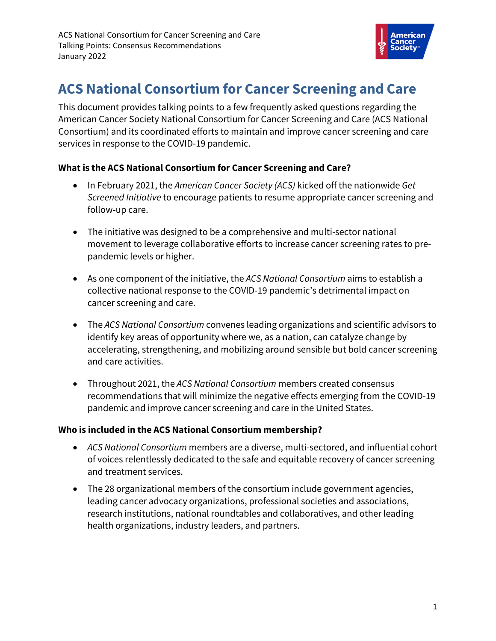

# **ACS National Consortium for Cancer Screening and Care**

This document provides talking points to a few frequently asked questions regarding the American Cancer Society National Consortium for Cancer Screening and Care (ACS National Consortium) and its coordinated efforts to maintain and improve cancer screening and care services in response to the COVID-19 pandemic.

#### **What is the ACS National Consortium for Cancer Screening and Care?**

- In February 2021, the *American Cancer Society (ACS)* kicked off the nationwide *Get Screened Initiative* to encourage patients to resume appropriate cancer screening and follow-up care.
- The initiative was designed to be a comprehensive and multi-sector national movement to leverage collaborative efforts to increase cancer screening rates to prepandemic levels or higher.
- As one component of the initiative, the *ACS National Consortium* aims to establish a collective national response to the COVID-19 pandemic's detrimental impact on cancer screening and care.
- The *ACS National Consortium* convenes leading organizations and scientific advisors to identify key areas of opportunity where we, as a nation, can catalyze change by accelerating, strengthening, and mobilizing around sensible but bold cancer screening and care activities.
- Throughout 2021, the *ACS National Consortium* members created consensus recommendations that will minimize the negative effects emerging from the COVID-19 pandemic and improve cancer screening and care in the United States.

#### **Who is included in the ACS National Consortium membership?**

- *ACS National Consortium* members are a diverse, multi-sectored, and influential cohort of voices relentlessly dedicated to the safe and equitable recovery of cancer screening and treatment services.
- The 28 organizational members of the consortium include government agencies, leading cancer advocacy organizations, professional societies and associations, research institutions, national roundtables and collaboratives, and other leading health organizations, industry leaders, and partners.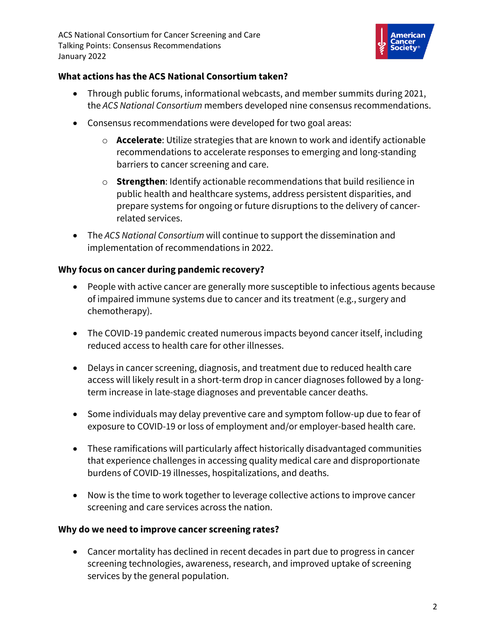

#### **What actions has the ACS National Consortium taken?**

- Through public forums, informational webcasts, and member summits during 2021, the *ACS National Consortium* members developed nine consensus recommendations.
- Consensus recommendations were developed for two goal areas:
	- o **Accelerate**: Utilize strategies that are known to work and identify actionable recommendations to accelerate responses to emerging and long-standing barriers to cancer screening and care.
	- o **Strengthen**: Identify actionable recommendations that build resilience in public health and healthcare systems, address persistent disparities, and prepare systems for ongoing or future disruptions to the delivery of cancerrelated services.
- The *ACS National Consortium* will continue to support the dissemination and implementation of recommendations in 2022.

### **Why focus on cancer during pandemic recovery?**

- People with active cancer are generally more susceptible to infectious agents because of impaired immune systems due to cancer and its treatment (e.g., surgery and chemotherapy).
- The COVID-19 pandemic created numerous impacts beyond cancer itself, including reduced access to health care for other illnesses.
- Delays in cancer screening, diagnosis, and treatment due to reduced health care access will likely result in a short-term drop in cancer diagnoses followed by a longterm increase in late-stage diagnoses and preventable cancer deaths.
- Some individuals may delay preventive care and symptom follow-up due to fear of exposure to COVID-19 or loss of employment and/or employer-based health care.
- These ramifications will particularly affect historically disadvantaged communities that experience challenges in accessing quality medical care and disproportionate burdens of COVID-19 illnesses, hospitalizations, and deaths.
- Now is the time to work together to leverage collective actions to improve cancer screening and care services across the nation.

## **Why do we need to improve cancer screening rates?**

• Cancer mortality has declined in recent decades in part due to progress in cancer screening technologies, awareness, research, and improved uptake of screening services by the general population.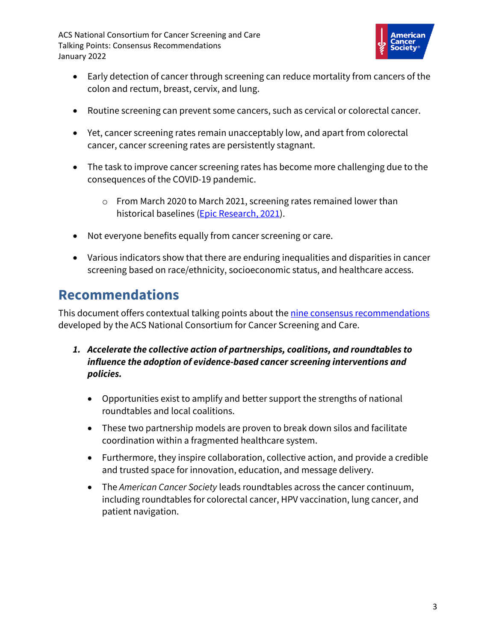ACS National Consortium for Cancer Screening and Care Talking Points: Consensus Recommendations January 2022



- Early detection of cancer through screening can reduce mortality from cancers of the colon and rectum, breast, cervix, and lung.
- Routine screening can prevent some cancers, such as cervical or colorectal cancer.
- Yet, cancer screening rates remain unacceptably low, and apart from colorectal cancer, cancer screening rates are persistently stagnant.
- The task to improve cancer screening rates has become more challenging due to the consequences of the COVID-19 pandemic.
	- o From March 2020 to March 2021, screening rates remained lower than historical baselines [\(Epic Research, 2021\)](https://epicresearch.org/articles/cancer-screenings-are-still-lagging).
- Not everyone benefits equally from cancer screening or care.
- Various indicators show that there are enduring inequalities and disparities in cancer screening based on race/ethnicity, socioeconomic status, and healthcare access.

# **Recommendations**

This document offers contextual talking points about the nine [consensus recommendations](https://consortium.acs4ccc.org/consensus-recommendations/) developed by the ACS National Consortium for Cancer Screening and Care.

- *1. Accelerate the collective action of partnerships, coalitions, and roundtables to influence the adoption of evidence-based cancer screening interventions and policies.*
	- Opportunities exist to amplify and better support the strengths of national roundtables and local coalitions.
	- These two partnership models are proven to break down silos and facilitate coordination within a fragmented healthcare system.
	- Furthermore, they inspire collaboration, collective action, and provide a credible and trusted space for innovation, education, and message delivery.
	- The *American Cancer Society* leads roundtables across the cancer continuum, including roundtables for colorectal cancer, HPV vaccination, lung cancer, and patient navigation.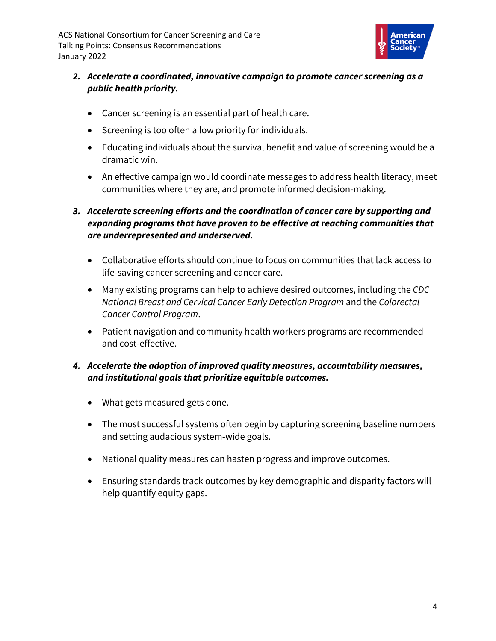ACS National Consortium for Cancer Screening and Care Talking Points: Consensus Recommendations January 2022



- *2. Accelerate a coordinated, innovative campaign to promote cancer screening as a public health priority.*
	- Cancer screening is an essential part of health care.
	- Screening is too often a low priority for individuals.
	- Educating individuals about the survival benefit and value of screening would be a dramatic win.
	- An effective campaign would coordinate messages to address health literacy, meet communities where they are, and promote informed decision-making.

### *3. Accelerate screening efforts and the coordination of cancer care by supporting and expanding programs that have proven to be effective at reaching communities that are underrepresented and underserved.*

- Collaborative efforts should continue to focus on communities that lack access to life-saving cancer screening and cancer care.
- Many existing programs can help to achieve desired outcomes, including the *CDC National Breast and Cervical Cancer Early Detection Program* and the *Colorectal Cancer Control Program*.
- Patient navigation and community health workers programs are recommended and cost-effective.

#### *4. Accelerate the adoption of improved quality measures, accountability measures, and institutional goals that prioritize equitable outcomes.*

- What gets measured gets done.
- The most successful systems often begin by capturing screening baseline numbers and setting audacious system-wide goals.
- National quality measures can hasten progress and improve outcomes.
- Ensuring standards track outcomes by key demographic and disparity factors will help quantify equity gaps.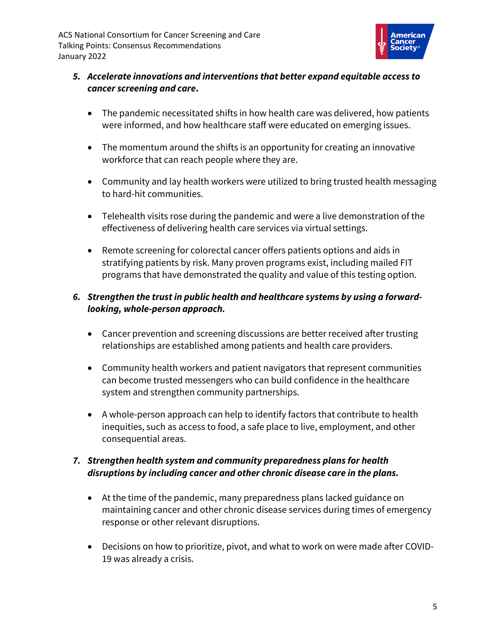

#### *5. Accelerate innovations and interventions that better expand equitable access to cancer screening and care***.**

- The pandemic necessitated shifts in how health care was delivered, how patients were informed, and how healthcare staff were educated on emerging issues.
- The momentum around the shifts is an opportunity for creating an innovative workforce that can reach people where they are.
- Community and lay health workers were utilized to bring trusted health messaging to hard-hit communities.
- Telehealth visits rose during the pandemic and were a live demonstration of the effectiveness of delivering health care services via virtual settings.
- Remote screening for colorectal cancer offers patients options and aids in stratifying patients by risk. Many proven programs exist, including mailed FIT programs that have demonstrated the quality and value of this testing option.

### *6. Strengthen the trust in public health and healthcare systems by using a forwardlooking, whole-person approach.*

- Cancer prevention and screening discussions are better received after trusting relationships are established among patients and health care providers.
- Community health workers and patient navigators that represent communities can become trusted messengers who can build confidence in the healthcare system and strengthen community partnerships.
- A whole-person approach can help to identify factors that contribute to health inequities, such as access to food, a safe place to live, employment, and other consequential areas.

### *7. Strengthen health system and community preparedness plans for health disruptions by including cancer and other chronic disease care in the plans.*

- At the time of the pandemic, many preparedness plans lacked guidance on maintaining cancer and other chronic disease services during times of emergency response or other relevant disruptions.
- Decisions on how to prioritize, pivot, and what to work on were made after COVID-19 was already a crisis.